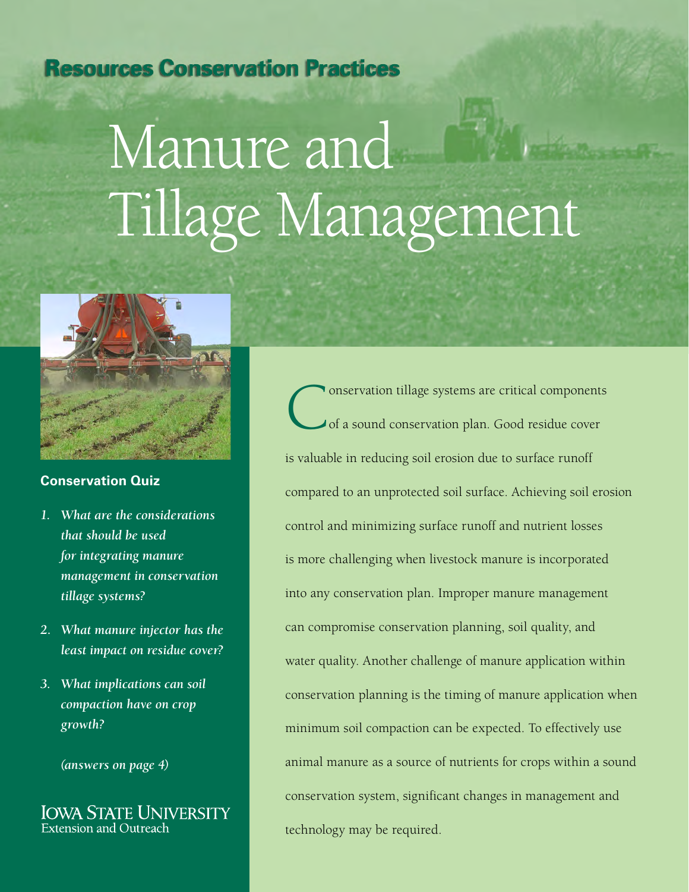## **Resources Conservation Practices**

# Manure and Tillage Management



#### **Conservation Quiz**

- *1. What are the considerations that should be used for integrating manure management in conservation tillage systems?*
- *2. What manure injector has the least impact on residue cover?*
- *3. What implications can soil compaction have on crop growth?*

*(answers on page 4)*

**IOWA STATE UNIVERSITY Extension and Outreach** 

Conservation tillage systems are critical components<br>
of a sound conservation plan. Good residue cover of a sound conservation plan. Good residue cover is valuable in reducing soil erosion due to surface runoff compared to an unprotected soil surface. Achieving soil erosion control and minimizing surface runoff and nutrient losses is more challenging when livestock manure is incorporated into any conservation plan. Improper manure management can compromise conservation planning, soil quality, and water quality. Another challenge of manure application within conservation planning is the timing of manure application when minimum soil compaction can be expected. To effectively use animal manure as a source of nutrients for crops within a sound conservation system, significant changes in management and technology may be required.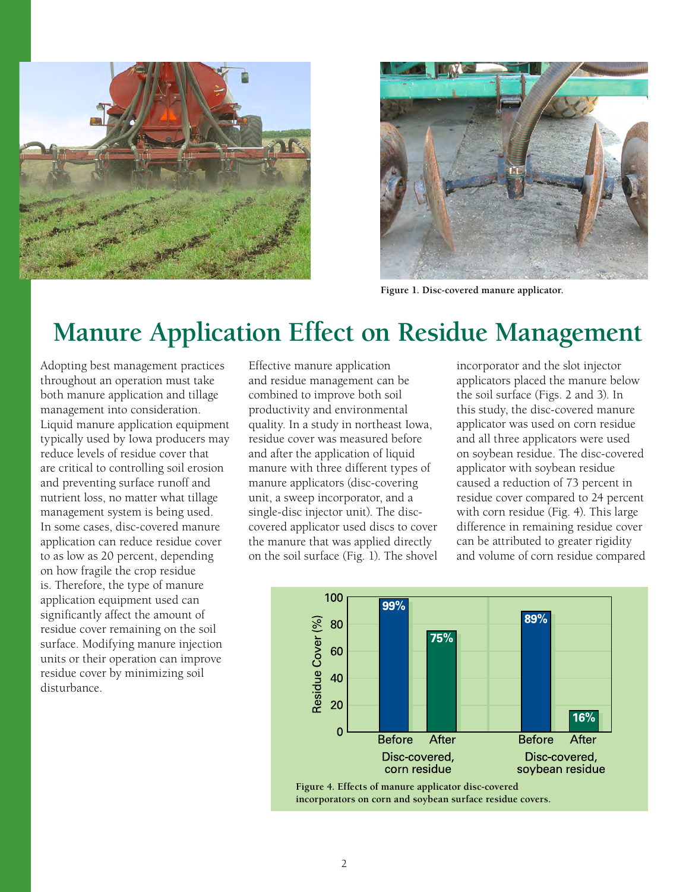



**Figure 1. Disc-covered manure applicator.**

# **Manure Application Effect on Residue Management**

Adopting best management practices throughout an operation must take both manure application and tillage management into consideration. Liquid manure application equipment typically used by Iowa producers may reduce levels of residue cover that are critical to controlling soil erosion and preventing surface runoff and nutrient loss, no matter what tillage management system is being used. In some cases, disc-covered manure application can reduce residue cover to as low as 20 percent, depending on how fragile the crop residue is. Therefore, the type of manure application equipment used can significantly affect the amount of residue cover remaining on the soil surface. Modifying manure injection units or their operation can improve residue cover by minimizing soil disturbance.

Effective manure application and residue management can be combined to improve both soil productivity and environmental quality. In a study in northeast Iowa, residue cover was measured before and after the application of liquid manure with three different types of manure applicators (disc-covering unit, a sweep incorporator, and a single-disc injector unit). The disccovered applicator used discs to cover the manure that was applied directly on the soil surface (Fig. 1). The shovel incorporator and the slot injector applicators placed the manure below the soil surface (Figs. 2 and 3). In this study, the disc-covered manure applicator was used on corn residue and all three applicators were used on soybean residue. The disc-covered applicator with soybean residue caused a reduction of 73 percent in residue cover compared to 24 percent with corn residue (Fig. 4). This large difference in remaining residue cover can be attributed to greater rigidity and volume of corn residue compared

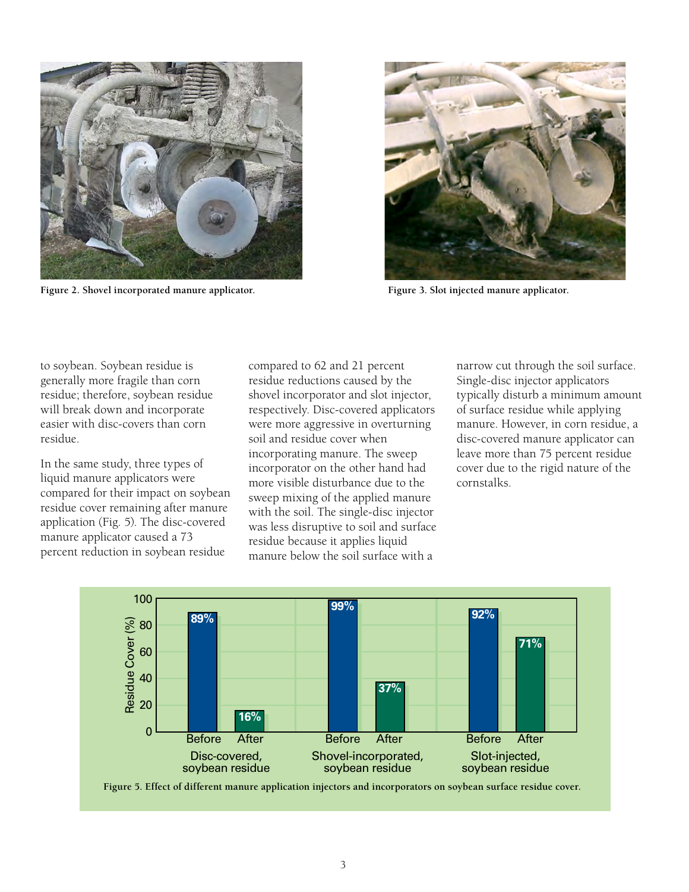

**Figure 2. Shovel incorporated manure applicator. Figure 3. Slot injected manure applicator.**



to soybean. Soybean residue is generally more fragile than corn residue; therefore, soybean residue will break down and incorporate easier with disc-covers than corn residue.

In the same study, three types of liquid manure applicators were compared for their impact on soybean residue cover remaining after manure application (Fig. 5). The disc-covered manure applicator caused a 73 percent reduction in soybean residue

compared to 62 and 21 percent residue reductions caused by the shovel incorporator and slot injector, respectively. Disc-covered applicators were more aggressive in overturning soil and residue cover when incorporating manure. The sweep incorporator on the other hand had more visible disturbance due to the sweep mixing of the applied manure with the soil. The single-disc injector was less disruptive to soil and surface residue because it applies liquid manure below the soil surface with a

narrow cut through the soil surface. Single-disc injector applicators typically disturb a minimum amount of surface residue while applying manure. However, in corn residue, a disc-covered manure applicator can leave more than 75 percent residue cover due to the rigid nature of the cornstalks.



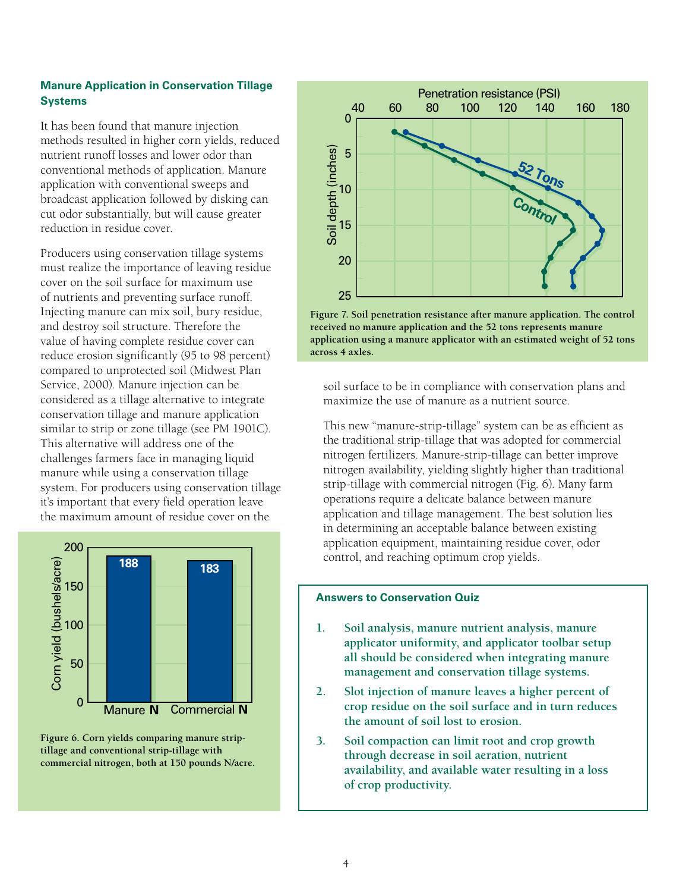#### **Manure Application in Conservation Tillage Systems**

It has been found that manure injection methods resulted in higher corn yields, reduced nutrient runoff losses and lower odor than conventional methods of application. Manure application with conventional sweeps and broadcast application followed by disking can cut odor substantially, but will cause greater reduction in residue cover.

Producers using conservation tillage systems must realize the importance of leaving residue cover on the soil surface for maximum use of nutrients and preventing surface runoff. Injecting manure can mix soil, bury residue, and destroy soil structure. Therefore the value of having complete residue cover can reduce erosion significantly (95 to 98 percent) compared to unprotected soil (Midwest Plan Service, 2000). Manure injection can be considered as a tillage alternative to integrate conservation tillage and manure application similar to strip or zone tillage (see PM 1901C). This alternative will address one of the challenges farmers face in managing liquid manure while using a conservation tillage system. For producers using conservation tillage it's important that every field operation leave the maximum amount of residue cover on the



**Figure 6. Corn yields comparing manure striptillage and conventional strip-tillage with commercial nitrogen, both at 150 pounds N/acre.**



**Figure 7. Soil penetration resistance after manure application. The control received no manure application and the 52 tons represents manure application using a manure applicator with an estimated weight of 52 tons across 4 axles.**

soil surface to be in compliance with conservation plans and maximize the use of manure as a nutrient source.

This new "manure-strip-tillage" system can be as efficient as the traditional strip-tillage that was adopted for commercial nitrogen fertilizers. Manure-strip-tillage can better improve nitrogen availability, yielding slightly higher than traditional strip-tillage with commercial nitrogen (Fig. 6). Many farm operations require a delicate balance between manure application and tillage management. The best solution lies in determining an acceptable balance between existing application equipment, maintaining residue cover, odor control, and reaching optimum crop yields.

#### **Answers to Conservation Quiz**

- **1. Soil analysis, manure nutrient analysis, manure applicator uniformity, and applicator toolbar setup all should be considered when integrating manure management and conservation tillage systems.**
- **2. Slot injection of manure leaves a higher percent of crop residue on the soil surface and in turn reduces the amount of soil lost to erosion.**
- **3. Soil compaction can limit root and crop growth through decrease in soil aeration, nutrient availability, and available water resulting in a loss of crop productivity.**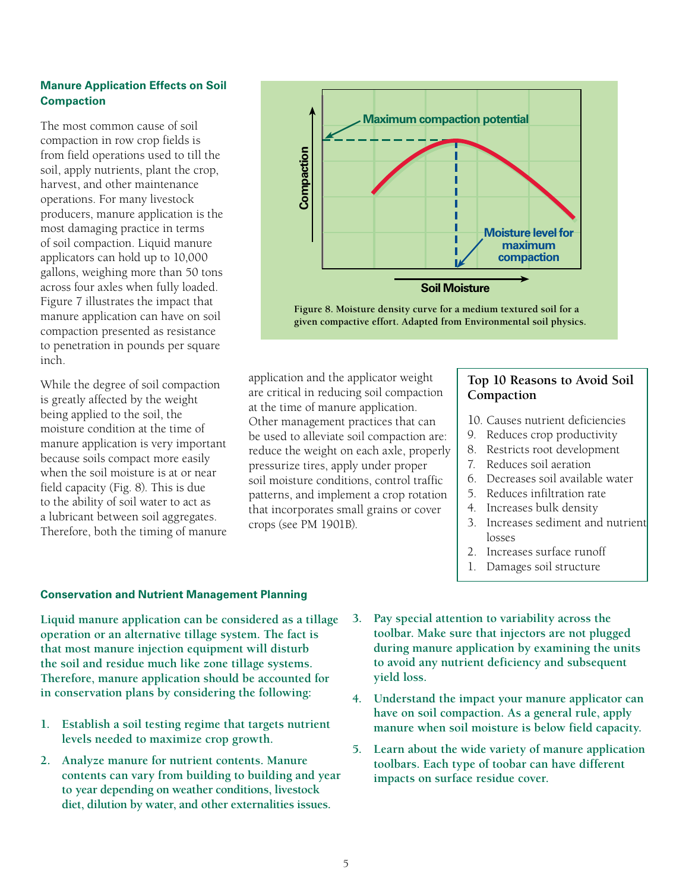#### **Manure Application Effects on Soil Compaction**

The most common cause of soil compaction in row crop fields is from field operations used to till the soil, apply nutrients, plant the crop, harvest, and other maintenance operations. For many livestock producers, manure application is the most damaging practice in terms of soil compaction. Liquid manure applicators can hold up to 10,000 gallons, weighing more than 50 tons across four axles when fully loaded. Figure 7 illustrates the impact that manure application can have on soil compaction presented as resistance to penetration in pounds per square inch.

While the degree of soil compaction is greatly affected by the weight being applied to the soil, the moisture condition at the time of manure application is very important because soils compact more easily when the soil moisture is at or near field capacity (Fig. 8). This is due to the ability of soil water to act as a lubricant between soil aggregates. Therefore, both the timing of manure



**given compactive effort. Adapted from Environmental soil physics.**

application and the applicator weight are critical in reducing soil compaction at the time of manure application. Other management practices that can be used to alleviate soil compaction are: reduce the weight on each axle, properly pressurize tires, apply under proper soil moisture conditions, control traffic patterns, and implement a crop rotation that incorporates small grains or cover crops (see PM 1901B).

#### **Top 10 Reasons to Avoid Soil Compaction**

- 10. Causes nutrient deficiencies
- 9. Reduces crop productivity
- 8. Restricts root development
- 7. Reduces soil aeration
- 6. Decreases soil available water
- 5. Reduces infiltration rate
- 4. Increases bulk density
- 3. Increases sediment and nutrient losses
- 2. Increases surface runoff
- 1. Damages soil structure

#### **Conservation and Nutrient Management Planning**

**Liquid manure application can be considered as a tillage operation or an alternative tillage system. The fact is that most manure injection equipment will disturb the soil and residue much like zone tillage systems. Therefore, manure application should be accounted for in conservation plans by considering the following:**

- **1. Establish a soil testing regime that targets nutrient levels needed to maximize crop growth.**
- **2. Analyze manure for nutrient contents. Manure contents can vary from building to building and year to year depending on weather conditions, livestock diet, dilution by water, and other externalities issues.**
- **3. Pay special attention to variability across the toolbar. Make sure that injectors are not plugged during manure application by examining the units to avoid any nutrient deficiency and subsequent yield loss.**
- **4. Understand the impact your manure applicator can have on soil compaction. As a general rule, apply manure when soil moisture is below field capacity.**
- **5. Learn about the wide variety of manure application toolbars. Each type of toobar can have different impacts on surface residue cover.**